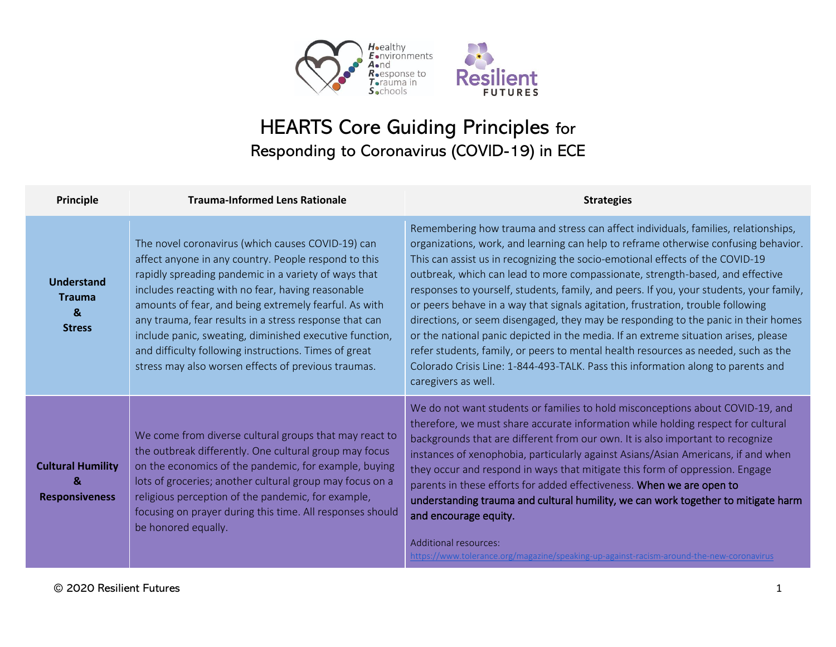



## HEARTS Core Guiding Principles for Responding to Coronavirus (COVID-19) in ECE

| <b>Principle</b>                                                        | <b>Trauma-Informed Lens Rationale</b>                                                                                                                                                                                                                                                                                                                                                                                                                                                                                | <b>Strategies</b>                                                                                                                                                                                                                                                                                                                                                                                                                                                                                                                                                                                                                                                                                                                                                                                                                                                                                       |
|-------------------------------------------------------------------------|----------------------------------------------------------------------------------------------------------------------------------------------------------------------------------------------------------------------------------------------------------------------------------------------------------------------------------------------------------------------------------------------------------------------------------------------------------------------------------------------------------------------|---------------------------------------------------------------------------------------------------------------------------------------------------------------------------------------------------------------------------------------------------------------------------------------------------------------------------------------------------------------------------------------------------------------------------------------------------------------------------------------------------------------------------------------------------------------------------------------------------------------------------------------------------------------------------------------------------------------------------------------------------------------------------------------------------------------------------------------------------------------------------------------------------------|
| <b>Understand</b><br><b>Trauma</b><br>$\boldsymbol{8}$<br><b>Stress</b> | The novel coronavirus (which causes COVID-19) can<br>affect anyone in any country. People respond to this<br>rapidly spreading pandemic in a variety of ways that<br>includes reacting with no fear, having reasonable<br>amounts of fear, and being extremely fearful. As with<br>any trauma, fear results in a stress response that can<br>include panic, sweating, diminished executive function,<br>and difficulty following instructions. Times of great<br>stress may also worsen effects of previous traumas. | Remembering how trauma and stress can affect individuals, families, relationships,<br>organizations, work, and learning can help to reframe otherwise confusing behavior.<br>This can assist us in recognizing the socio-emotional effects of the COVID-19<br>outbreak, which can lead to more compassionate, strength-based, and effective<br>responses to yourself, students, family, and peers. If you, your students, your family,<br>or peers behave in a way that signals agitation, frustration, trouble following<br>directions, or seem disengaged, they may be responding to the panic in their homes<br>or the national panic depicted in the media. If an extreme situation arises, please<br>refer students, family, or peers to mental health resources as needed, such as the<br>Colorado Crisis Line: 1-844-493-TALK. Pass this information along to parents and<br>caregivers as well. |
| <b>Cultural Humility</b><br>&<br><b>Responsiveness</b>                  | We come from diverse cultural groups that may react to<br>the outbreak differently. One cultural group may focus<br>on the economics of the pandemic, for example, buying<br>lots of groceries; another cultural group may focus on a<br>religious perception of the pandemic, for example,<br>focusing on prayer during this time. All responses should<br>be honored equally.                                                                                                                                      | We do not want students or families to hold misconceptions about COVID-19, and<br>therefore, we must share accurate information while holding respect for cultural<br>backgrounds that are different from our own. It is also important to recognize<br>instances of xenophobia, particularly against Asians/Asian Americans, if and when<br>they occur and respond in ways that mitigate this form of oppression. Engage<br>parents in these efforts for added effectiveness. When we are open to<br>understanding trauma and cultural humility, we can work together to mitigate harm<br>and encourage equity.<br>Additional resources:<br>https://www.tolerance.org/magazine/speaking-up-against-racism-around-the-new-coronavirus                                                                                                                                                                   |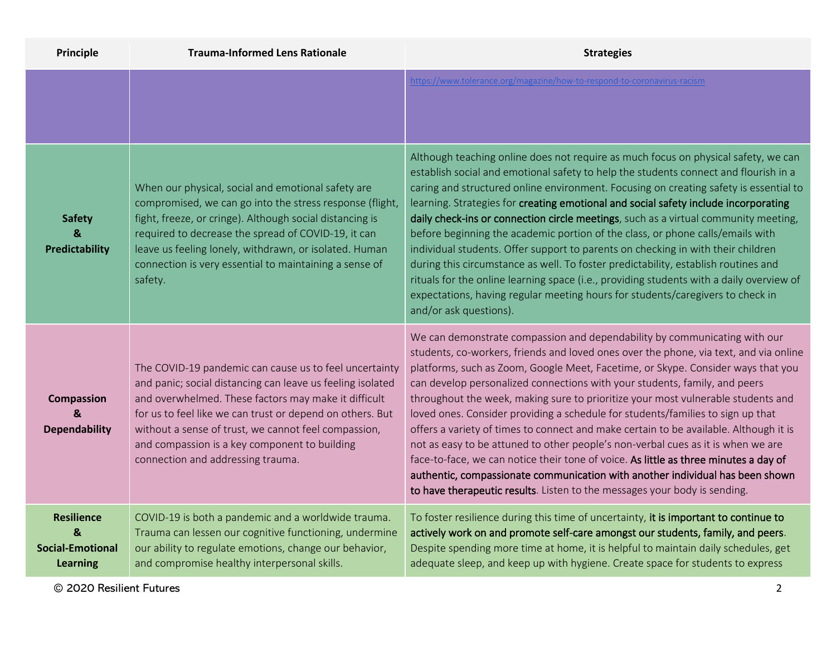| Principle                                                            | <b>Trauma-Informed Lens Rationale</b>                                                                                                                                                                                                                                                                                                                                                   | <b>Strategies</b>                                                                                                                                                                                                                                                                                                                                                                                                                                                                                                                                                                                                                                                                                                                                                                                                                                                                                                                              |
|----------------------------------------------------------------------|-----------------------------------------------------------------------------------------------------------------------------------------------------------------------------------------------------------------------------------------------------------------------------------------------------------------------------------------------------------------------------------------|------------------------------------------------------------------------------------------------------------------------------------------------------------------------------------------------------------------------------------------------------------------------------------------------------------------------------------------------------------------------------------------------------------------------------------------------------------------------------------------------------------------------------------------------------------------------------------------------------------------------------------------------------------------------------------------------------------------------------------------------------------------------------------------------------------------------------------------------------------------------------------------------------------------------------------------------|
|                                                                      |                                                                                                                                                                                                                                                                                                                                                                                         | https://www.tolerance.org/magazine/how-to-respond-to-coronavirus-racism                                                                                                                                                                                                                                                                                                                                                                                                                                                                                                                                                                                                                                                                                                                                                                                                                                                                        |
| <b>Safety</b><br>&<br><b>Predictability</b>                          | When our physical, social and emotional safety are<br>compromised, we can go into the stress response (flight,<br>fight, freeze, or cringe). Although social distancing is<br>required to decrease the spread of COVID-19, it can<br>leave us feeling lonely, withdrawn, or isolated. Human<br>connection is very essential to maintaining a sense of<br>safety.                        | Although teaching online does not require as much focus on physical safety, we can<br>establish social and emotional safety to help the students connect and flourish in a<br>caring and structured online environment. Focusing on creating safety is essential to<br>learning. Strategies for creating emotional and social safety include incorporating<br>daily check-ins or connection circle meetings, such as a virtual community meeting,<br>before beginning the academic portion of the class, or phone calls/emails with<br>individual students. Offer support to parents on checking in with their children<br>during this circumstance as well. To foster predictability, establish routines and<br>rituals for the online learning space (i.e., providing students with a daily overview of<br>expectations, having regular meeting hours for students/caregivers to check in<br>and/or ask questions).                          |
| <b>Compassion</b><br>&<br><b>Dependability</b>                       | The COVID-19 pandemic can cause us to feel uncertainty<br>and panic; social distancing can leave us feeling isolated<br>and overwhelmed. These factors may make it difficult<br>for us to feel like we can trust or depend on others. But<br>without a sense of trust, we cannot feel compassion,<br>and compassion is a key component to building<br>connection and addressing trauma. | We can demonstrate compassion and dependability by communicating with our<br>students, co-workers, friends and loved ones over the phone, via text, and via online<br>platforms, such as Zoom, Google Meet, Facetime, or Skype. Consider ways that you<br>can develop personalized connections with your students, family, and peers<br>throughout the week, making sure to prioritize your most vulnerable students and<br>loved ones. Consider providing a schedule for students/families to sign up that<br>offers a variety of times to connect and make certain to be available. Although it is<br>not as easy to be attuned to other people's non-verbal cues as it is when we are<br>face-to-face, we can notice their tone of voice. As little as three minutes a day of<br>authentic, compassionate communication with another individual has been shown<br>to have therapeutic results. Listen to the messages your body is sending. |
| <b>Resilience</b><br>&<br><b>Social-Emotional</b><br><b>Learning</b> | COVID-19 is both a pandemic and a worldwide trauma.<br>Trauma can lessen our cognitive functioning, undermine<br>our ability to regulate emotions, change our behavior,<br>and compromise healthy interpersonal skills.                                                                                                                                                                 | To foster resilience during this time of uncertainty, it is important to continue to<br>actively work on and promote self-care amongst our students, family, and peers.<br>Despite spending more time at home, it is helpful to maintain daily schedules, get<br>adequate sleep, and keep up with hygiene. Create space for students to express                                                                                                                                                                                                                                                                                                                                                                                                                                                                                                                                                                                                |

© 2020 Resilient Futures 2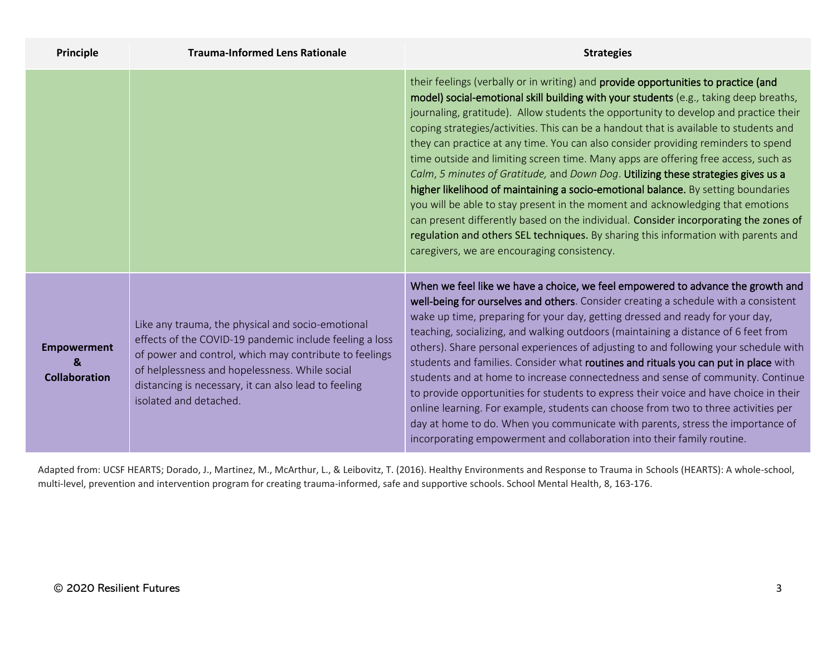| Principle                                       | <b>Trauma-Informed Lens Rationale</b>                                                                                                                                                                                                                                                                      | <b>Strategies</b>                                                                                                                                                                                                                                                                                                                                                                                                                                                                                                                                                                                                                                                                                                                                                                                                                                                                                                                                                                                                                |
|-------------------------------------------------|------------------------------------------------------------------------------------------------------------------------------------------------------------------------------------------------------------------------------------------------------------------------------------------------------------|----------------------------------------------------------------------------------------------------------------------------------------------------------------------------------------------------------------------------------------------------------------------------------------------------------------------------------------------------------------------------------------------------------------------------------------------------------------------------------------------------------------------------------------------------------------------------------------------------------------------------------------------------------------------------------------------------------------------------------------------------------------------------------------------------------------------------------------------------------------------------------------------------------------------------------------------------------------------------------------------------------------------------------|
|                                                 |                                                                                                                                                                                                                                                                                                            | their feelings (verbally or in writing) and provide opportunities to practice (and<br>model) social-emotional skill building with your students (e.g., taking deep breaths,<br>journaling, gratitude). Allow students the opportunity to develop and practice their<br>coping strategies/activities. This can be a handout that is available to students and<br>they can practice at any time. You can also consider providing reminders to spend<br>time outside and limiting screen time. Many apps are offering free access, such as<br>Calm, 5 minutes of Gratitude, and Down Dog. Utilizing these strategies gives us a<br>higher likelihood of maintaining a socio-emotional balance. By setting boundaries<br>you will be able to stay present in the moment and acknowledging that emotions<br>can present differently based on the individual. Consider incorporating the zones of<br>regulation and others SEL techniques. By sharing this information with parents and<br>caregivers, we are encouraging consistency. |
| <b>Empowerment</b><br>&<br><b>Collaboration</b> | Like any trauma, the physical and socio-emotional<br>effects of the COVID-19 pandemic include feeling a loss<br>of power and control, which may contribute to feelings<br>of helplessness and hopelessness. While social<br>distancing is necessary, it can also lead to feeling<br>isolated and detached. | When we feel like we have a choice, we feel empowered to advance the growth and<br>well-being for ourselves and others. Consider creating a schedule with a consistent<br>wake up time, preparing for your day, getting dressed and ready for your day,<br>teaching, socializing, and walking outdoors (maintaining a distance of 6 feet from<br>others). Share personal experiences of adjusting to and following your schedule with<br>students and families. Consider what routines and rituals you can put in place with<br>students and at home to increase connectedness and sense of community. Continue<br>to provide opportunities for students to express their voice and have choice in their<br>online learning. For example, students can choose from two to three activities per<br>day at home to do. When you communicate with parents, stress the importance of<br>incorporating empowerment and collaboration into their family routine.                                                                       |

Adapted from: UCSF HEARTS; Dorado, J., Martinez, M., McArthur, L., & Leibovitz, T. (2016). Healthy Environments and Response to Trauma in Schools (HEARTS): A whole-school, multi-level, prevention and intervention program for creating trauma-informed, safe and supportive schools. School Mental Health, 8, 163-176.